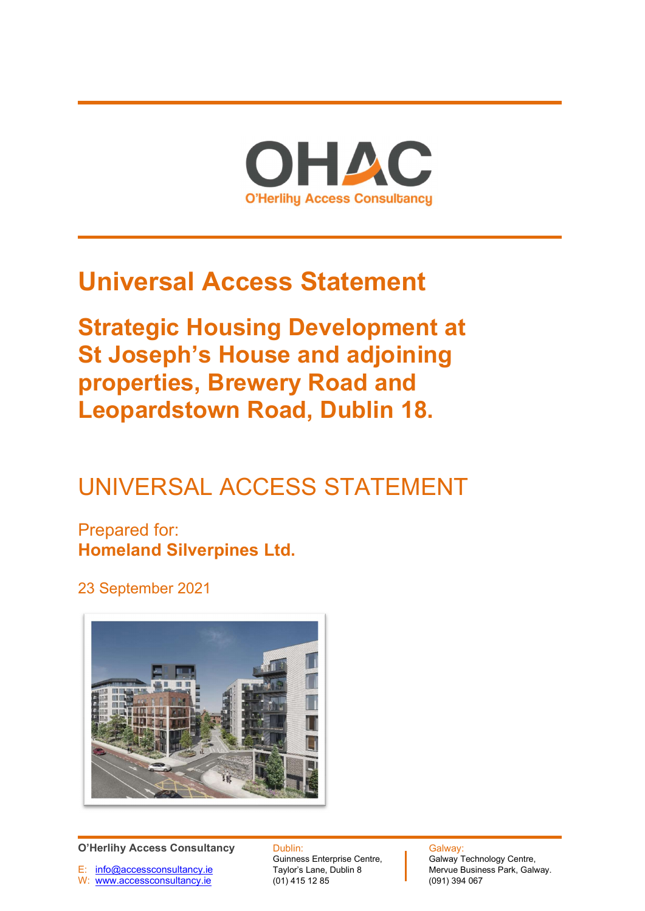

# Universal Access Statement

Strategic Housing Development at St Joseph's House and adjoining properties, Brewery Road and Leopardstown Road, Dublin 18.

## UNIVERSAL ACCESS STATEMENT

Prepared for: Homeland Silverpines Ltd.

23 September 2021



E: info@accessconsultancy.ie Taylor's Lane, Dublin 8 Mervue Busine<br>
W: www.accessconsultancy.ie (01) 415 12 85 (091) 394 067 W: www.accessconsultancy.ie

O'Herlihy Access Consultancy Dublin: Dublin: Galway: Galway:<br>Galway Technology Centre, Cuinness Enterprise Centre, Calway Technology Centre, Guinness Enterprise Centre, **Galway Technology Centre, Taylor's Lane, Dublin 8** Mervue Business Park, Galway.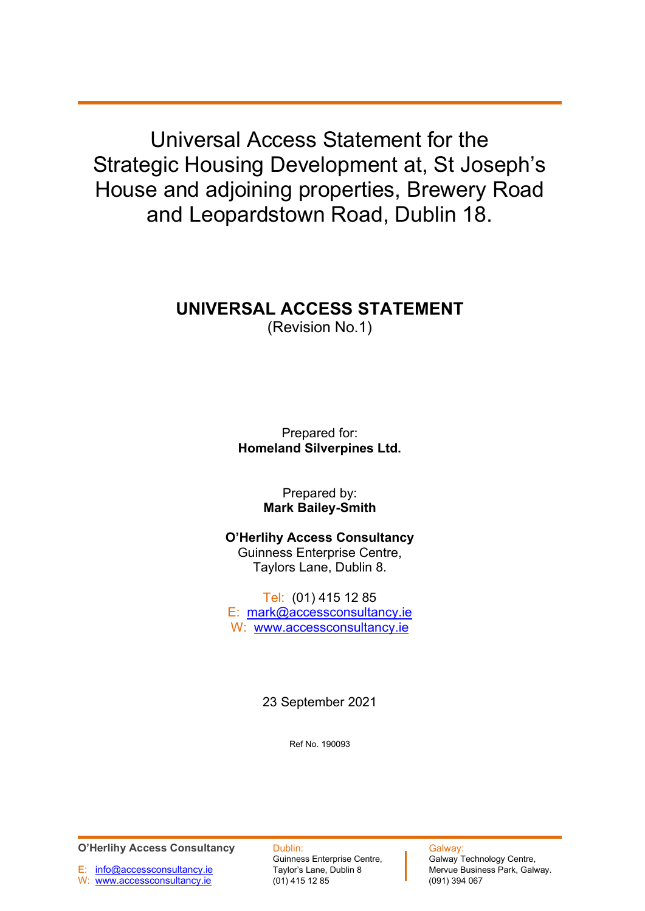Universal Access Statement for the Strategic Housing Development at, St Joseph's House and adjoining properties, Brewery Road and Leopardstown Road, Dublin 18.

## UNIVERSAL ACCESS STATEMENT

(Revision No.1)

Prepared for: Homeland Silverpines Ltd.

> Prepared by: Mark Bailey-Smith

O'Herlihy Access Consultancy Guinness Enterprise Centre, Taylors Lane, Dublin 8.

Tel: (01) 415 12 85 E: mark@accessconsultancy.ie W: www.accessconsultancy.ie

23 September 2021

Ref No. 190093

O'Herlihy Access Consultancy Dublin: Calway:<br>Galway Technology Centre, Cuinness Enterprise Centre, Calway Technology Centre,

E: info@accessconsultancy.ie Taylor's Lane, Dublin 8 Mervue Busine<br>
W: www.accessconsultancy.ie (01) 415 12 85 (091) 394 067 W: www.accessconsultancy.ie

Guinness Enterprise Centre, **Galway Technology Centre, Taylor's Lane, Dublin 8** Mervue Business Park, Galway.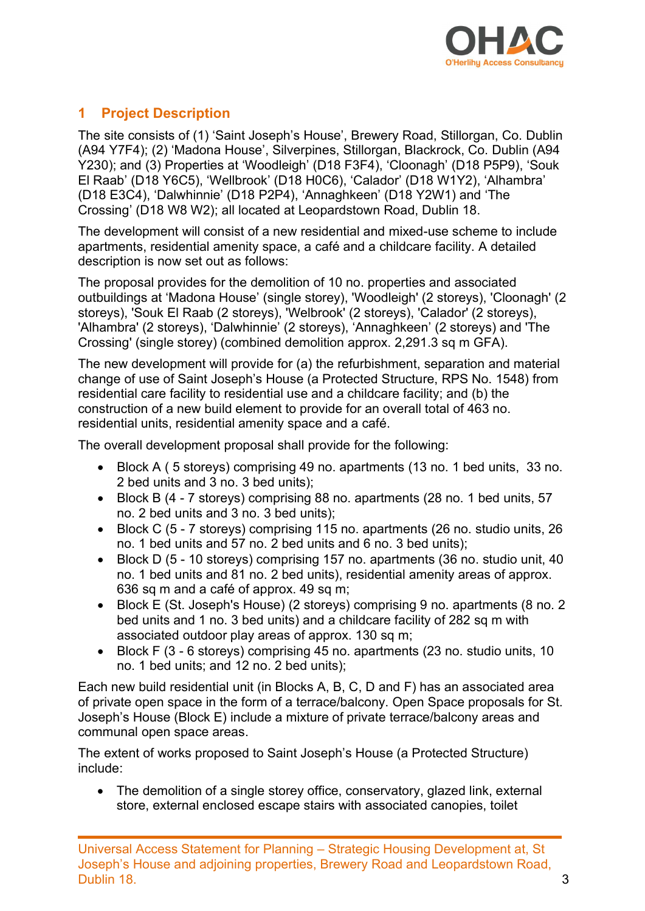

### 1 Project Description

The site consists of (1) 'Saint Joseph's House', Brewery Road, Stillorgan, Co. Dublin (A94 Y7F4); (2) 'Madona House', Silverpines, Stillorgan, Blackrock, Co. Dublin (A94 Y230); and (3) Properties at 'Woodleigh' (D18 F3F4), 'Cloonagh' (D18 P5P9), 'Souk El Raab' (D18 Y6C5), 'Wellbrook' (D18 H0C6), 'Calador' (D18 W1Y2), 'Alhambra' (D18 E3C4), 'Dalwhinnie' (D18 P2P4), 'Annaghkeen' (D18 Y2W1) and 'The Crossing' (D18 W8 W2); all located at Leopardstown Road, Dublin 18.

The development will consist of a new residential and mixed-use scheme to include apartments, residential amenity space, a café and a childcare facility. A detailed description is now set out as follows:

The proposal provides for the demolition of 10 no. properties and associated outbuildings at 'Madona House' (single storey), 'Woodleigh' (2 storeys), 'Cloonagh' (2 storeys), 'Souk El Raab (2 storeys), 'Welbrook' (2 storeys), 'Calador' (2 storeys), 'Alhambra' (2 storeys), 'Dalwhinnie' (2 storeys), 'Annaghkeen' (2 storeys) and 'The Crossing' (single storey) (combined demolition approx. 2,291.3 sq m GFA).

The new development will provide for (a) the refurbishment, separation and material change of use of Saint Joseph's House (a Protected Structure, RPS No. 1548) from residential care facility to residential use and a childcare facility; and (b) the construction of a new build element to provide for an overall total of 463 no. residential units, residential amenity space and a café.

The overall development proposal shall provide for the following:

- Block A ( 5 storeys) comprising 49 no. apartments (13 no. 1 bed units, 33 no. 2 bed units and 3 no. 3 bed units);
- Block B (4 7 storeys) comprising 88 no. apartments (28 no. 1 bed units, 57 no. 2 bed units and 3 no. 3 bed units);
- Block C (5 7 storeys) comprising 115 no. apartments (26 no. studio units, 26 no. 1 bed units and 57 no. 2 bed units and 6 no. 3 bed units);
- Block D (5 10 storeys) comprising 157 no. apartments (36 no. studio unit, 40 no. 1 bed units and 81 no. 2 bed units), residential amenity areas of approx. 636 sq m and a café of approx. 49 sq m;
- Block E (St. Joseph's House) (2 storeys) comprising 9 no. apartments (8 no. 2 bed units and 1 no. 3 bed units) and a childcare facility of 282 sq m with associated outdoor play areas of approx. 130 sq m;
- Block F (3 6 storeys) comprising 45 no. apartments (23 no. studio units, 10 no. 1 bed units; and 12 no. 2 bed units);

Each new build residential unit (in Blocks A, B, C, D and F) has an associated area of private open space in the form of a terrace/balcony. Open Space proposals for St. Joseph's House (Block E) include a mixture of private terrace/balcony areas and communal open space areas.

The extent of works proposed to Saint Joseph's House (a Protected Structure) include:

• The demolition of a single storey office, conservatory, glazed link, external store, external enclosed escape stairs with associated canopies, toilet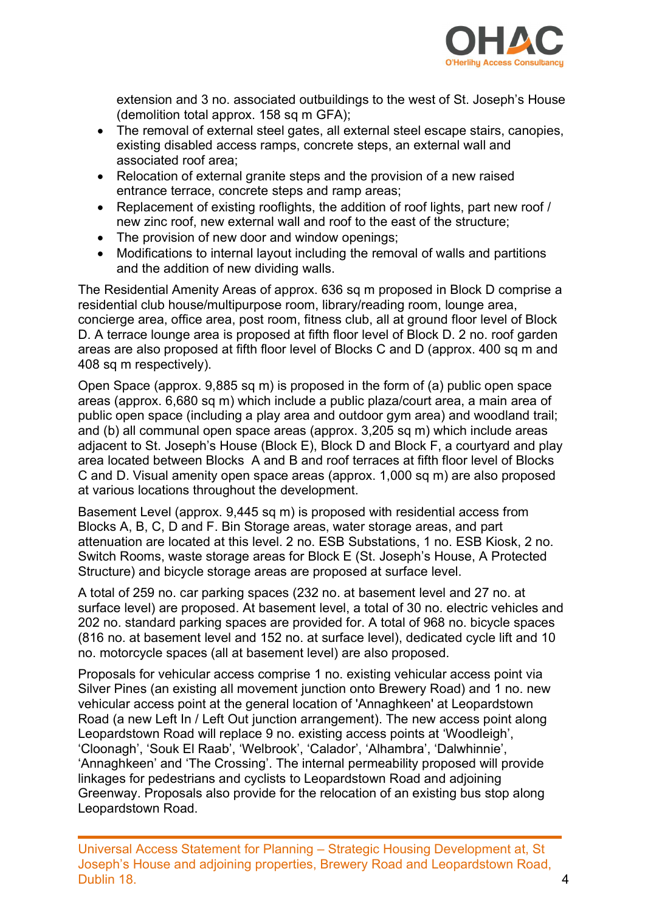

extension and 3 no. associated outbuildings to the west of St. Joseph's House (demolition total approx. 158 sq m GFA);

- The removal of external steel gates, all external steel escape stairs, canopies, existing disabled access ramps, concrete steps, an external wall and associated roof area;
- Relocation of external granite steps and the provision of a new raised entrance terrace, concrete steps and ramp areas;
- Replacement of existing rooflights, the addition of roof lights, part new roof / new zinc roof, new external wall and roof to the east of the structure;
- The provision of new door and window openings;
- Modifications to internal layout including the removal of walls and partitions and the addition of new dividing walls.

The Residential Amenity Areas of approx. 636 sq m proposed in Block D comprise a residential club house/multipurpose room, library/reading room, lounge area, concierge area, office area, post room, fitness club, all at ground floor level of Block D. A terrace lounge area is proposed at fifth floor level of Block D. 2 no. roof garden areas are also proposed at fifth floor level of Blocks C and D (approx. 400 sq m and 408 sq m respectively).

Open Space (approx. 9,885 sq m) is proposed in the form of (a) public open space areas (approx. 6,680 sq m) which include a public plaza/court area, a main area of public open space (including a play area and outdoor gym area) and woodland trail; and (b) all communal open space areas (approx. 3,205 sq m) which include areas adjacent to St. Joseph's House (Block E), Block D and Block F, a courtyard and play area located between Blocks A and B and roof terraces at fifth floor level of Blocks C and D. Visual amenity open space areas (approx. 1,000 sq m) are also proposed at various locations throughout the development.

Basement Level (approx. 9,445 sq m) is proposed with residential access from Blocks A, B, C, D and F. Bin Storage areas, water storage areas, and part attenuation are located at this level. 2 no. ESB Substations, 1 no. ESB Kiosk, 2 no. Switch Rooms, waste storage areas for Block E (St. Joseph's House, A Protected Structure) and bicycle storage areas are proposed at surface level.

A total of 259 no. car parking spaces (232 no. at basement level and 27 no. at surface level) are proposed. At basement level, a total of 30 no. electric vehicles and 202 no. standard parking spaces are provided for. A total of 968 no. bicycle spaces (816 no. at basement level and 152 no. at surface level), dedicated cycle lift and 10 no. motorcycle spaces (all at basement level) are also proposed.

Proposals for vehicular access comprise 1 no. existing vehicular access point via Silver Pines (an existing all movement junction onto Brewery Road) and 1 no. new vehicular access point at the general location of 'Annaghkeen' at Leopardstown Road (a new Left In / Left Out junction arrangement). The new access point along Leopardstown Road will replace 9 no. existing access points at 'Woodleigh', 'Cloonagh', 'Souk El Raab', 'Welbrook', 'Calador', 'Alhambra', 'Dalwhinnie', 'Annaghkeen' and 'The Crossing'. The internal permeability proposed will provide linkages for pedestrians and cyclists to Leopardstown Road and adjoining Greenway. Proposals also provide for the relocation of an existing bus stop along Leopardstown Road.

Universal Access Statement for Planning – Strategic Housing Development at, St Joseph's House and adjoining properties, Brewery Road and Leopardstown Road, Dublin 18. 4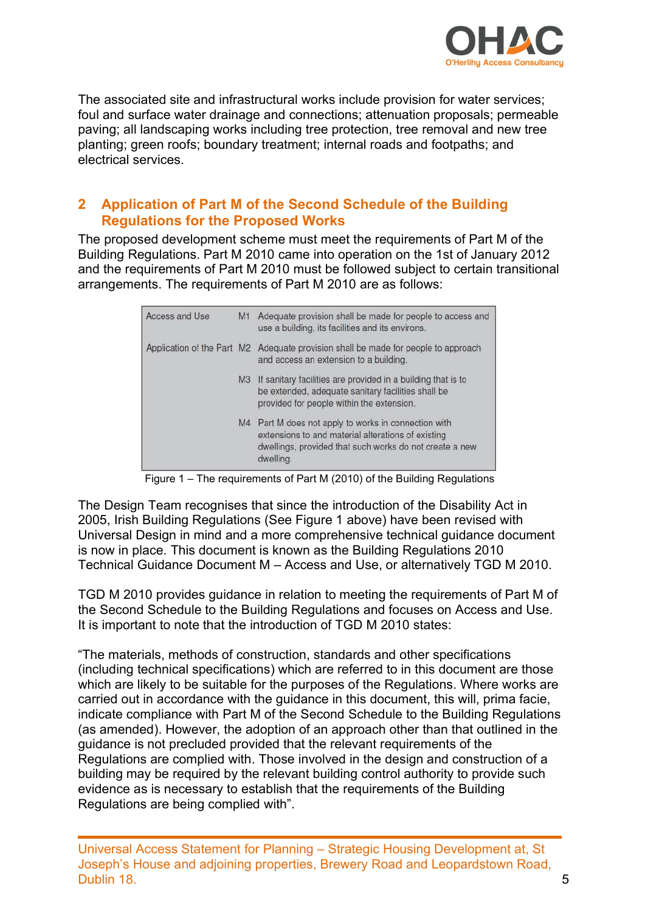

The associated site and infrastructural works include provision for water services; foul and surface water drainage and connections; attenuation proposals; permeable paving; all landscaping works including tree protection, tree removal and new tree planting; green roofs; boundary treatment; internal roads and footpaths; and electrical services.

#### 2 Application of Part M of the Second Schedule of the Building Regulations for the Proposed Works

The proposed development scheme must meet the requirements of Part M of the Building Regulations. Part M 2010 came into operation on the 1st of January 2012 and the requirements of Part M 2010 must be followed subject to certain transitional arrangements. The requirements of Part M 2010 are as follows:

| Access and Use             | M1             | Adequate provision shall be made for people to access and<br>use a building, its facilities and its environs.                                                                   |
|----------------------------|----------------|---------------------------------------------------------------------------------------------------------------------------------------------------------------------------------|
| Application of the Part M2 |                | Adequate provision shall be made for people to approach<br>and access an extension to a building.                                                                               |
|                            | M <sub>3</sub> | If sanitary facilities are provided in a building that is to<br>be extended, adequate sanitary facilities shall be<br>provided for people within the extension.                 |
|                            | M4             | Part M does not apply to works in connection with<br>extensions to and material alterations of existing<br>dwellings, provided that such works do not create a new<br>dwelling. |

Figure 1 – The requirements of Part M (2010) of the Building Regulations

The Design Team recognises that since the introduction of the Disability Act in 2005, Irish Building Regulations (See Figure 1 above) have been revised with Universal Design in mind and a more comprehensive technical guidance document is now in place. This document is known as the Building Regulations 2010 Technical Guidance Document M – Access and Use, or alternatively TGD M 2010.

TGD M 2010 provides guidance in relation to meeting the requirements of Part M of the Second Schedule to the Building Regulations and focuses on Access and Use. It is important to note that the introduction of TGD M 2010 states:

"The materials, methods of construction, standards and other specifications (including technical specifications) which are referred to in this document are those which are likely to be suitable for the purposes of the Regulations. Where works are carried out in accordance with the guidance in this document, this will, prima facie, indicate compliance with Part M of the Second Schedule to the Building Regulations (as amended). However, the adoption of an approach other than that outlined in the guidance is not precluded provided that the relevant requirements of the Regulations are complied with. Those involved in the design and construction of a building may be required by the relevant building control authority to provide such evidence as is necessary to establish that the requirements of the Building Regulations are being complied with".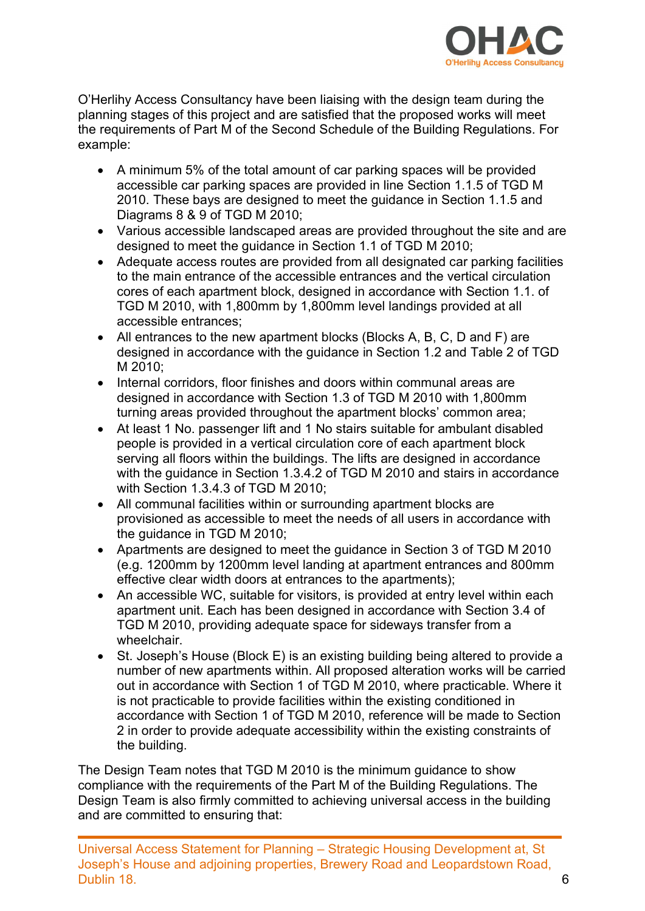

O'Herlihy Access Consultancy have been liaising with the design team during the planning stages of this project and are satisfied that the proposed works will meet the requirements of Part M of the Second Schedule of the Building Regulations. For example:

- A minimum 5% of the total amount of car parking spaces will be provided accessible car parking spaces are provided in line Section 1.1.5 of TGD M 2010. These bays are designed to meet the guidance in Section 1.1.5 and Diagrams 8 & 9 of TGD M 2010;
- Various accessible landscaped areas are provided throughout the site and are designed to meet the guidance in Section 1.1 of TGD M 2010;
- Adequate access routes are provided from all designated car parking facilities to the main entrance of the accessible entrances and the vertical circulation cores of each apartment block, designed in accordance with Section 1.1. of TGD M 2010, with 1,800mm by 1,800mm level landings provided at all accessible entrances;
- All entrances to the new apartment blocks (Blocks A, B, C, D and F) are designed in accordance with the guidance in Section 1.2 and Table 2 of TGD M 2010;
- Internal corridors, floor finishes and doors within communal areas are designed in accordance with Section 1.3 of TGD M 2010 with 1,800mm turning areas provided throughout the apartment blocks' common area;
- At least 1 No. passenger lift and 1 No stairs suitable for ambulant disabled people is provided in a vertical circulation core of each apartment block serving all floors within the buildings. The lifts are designed in accordance with the guidance in Section 1.3.4.2 of TGD M 2010 and stairs in accordance with Section 1.3.4.3 of TGD M 2010;
- All communal facilities within or surrounding apartment blocks are provisioned as accessible to meet the needs of all users in accordance with the guidance in TGD M 2010;
- Apartments are designed to meet the guidance in Section 3 of TGD M 2010 (e.g. 1200mm by 1200mm level landing at apartment entrances and 800mm effective clear width doors at entrances to the apartments);
- An accessible WC, suitable for visitors, is provided at entry level within each apartment unit. Each has been designed in accordance with Section 3.4 of TGD M 2010, providing adequate space for sideways transfer from a wheelchair.
- St. Joseph's House (Block E) is an existing building being altered to provide a number of new apartments within. All proposed alteration works will be carried out in accordance with Section 1 of TGD M 2010, where practicable. Where it is not practicable to provide facilities within the existing conditioned in accordance with Section 1 of TGD M 2010, reference will be made to Section 2 in order to provide adequate accessibility within the existing constraints of the building.

The Design Team notes that TGD M 2010 is the minimum guidance to show compliance with the requirements of the Part M of the Building Regulations. The Design Team is also firmly committed to achieving universal access in the building and are committed to ensuring that: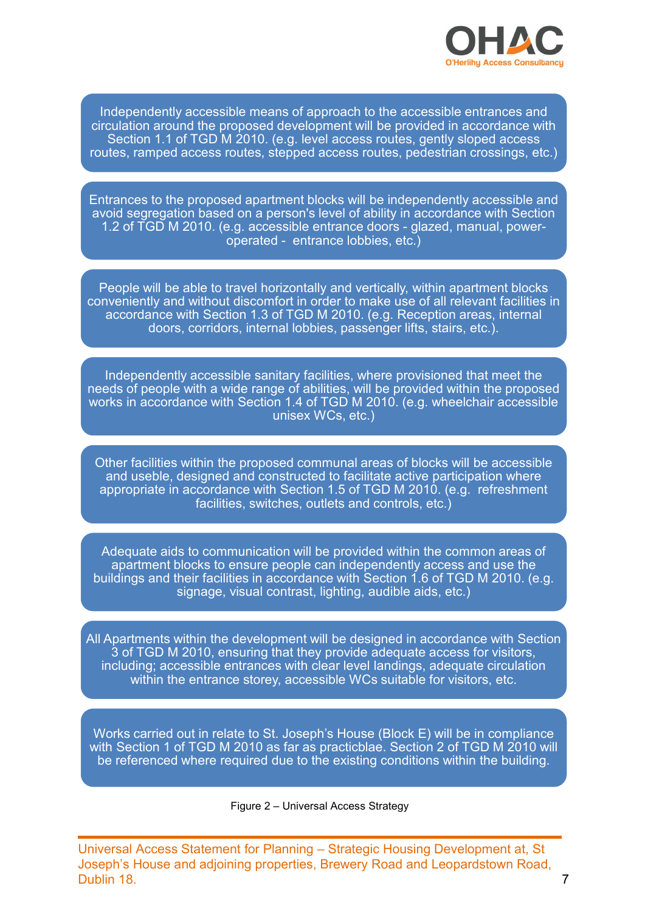

Independently accessible means of approach to the accessible entrances and circulation around the proposed development will be provided in accordance with Section 1.1 of TGD M 2010. (e.g. level access routes, gently sloped access routes, ramped access routes, stepped access routes, pedestrian crossings, etc.)

Entrances to the proposed apartment blocks will be independently accessible and avoid segregation based on a person's level of ability in accordance with Section 1.2 of TGD M 2010. (e.g. accessible entrance doors - glazed, manual, power-<br>
1.2 of TGD M 2010. (e.g. level access routes, gently sloped access<br>
1.3 of TGD M 2010. (e.g. level access routes, pedestrian crossings, etc.)<br>
1. **CHET THE CONDETERT CONDETERT CONDUCTERT CONDUCTERT CONDUCTED ACCORDINGLY CONDUCT CHARGED CONDENSIDED AND A COLOR (SUPPORT CONDENSIDED AND CONDENSIDED AND CONDENSIDED AND A person is level of a partment blocks will be inde** 

People will be able to travel horizontally and vertically, within apartment blocks conveniently and without discomfort in order to make use of all relevant facilities in accordance with Section 1.3 of TGD M 2010. (e.g. Reception areas, internal doors, corridors, internal lobbies, passenger lifts, stairs, etc.).

Independently accessible sanitary facilities, where provisioned that meet the needs of people with a wide range of abilities, will be provided within the proposed works in accordance with Section 1.4 of TGD M 2010. (e.g. wheelchair accessible unisex WCs, etc.)

Other facilities within the proposed communal areas of blocks will be accessible and useble, designed and constructed to facilitate active participation where appropriate in accordance with Section 1.5 of TGD M 2010. (e.g. refreshment facilities, switches, outlets and controls, etc.)

Adequate aids to communication will be provided within the common areas of apartment blocks to ensure people can independently access and use the buildings and their facilities in accordance with Section 1.6 of TGD M 2010. (e.g. signage, visual contrast, lighting, audible aids, etc.)

All Apartments within the development will be designed in accordance with Section 3 of TGD M 2010, ensuring that they provide adequate access for visitors, including; accessible entrances with clear level landings, adequate circulation within the entrance storey, accessible WCs suitable for visitors, etc.

Works carried out in relate to St. Joseph's House (Block E) will be in compliance with Section 1 of TGD M 2010 as far as practicblae. Section 2 of TGD M 2010 will be referenced where required due to the existing conditions within the building.

#### Figure 2 – Universal Access Strategy

Universal Access Statement for Planning – Strategic Housing Development at, St Joseph's House and adjoining properties, Brewery Road and Leopardstown Road, Dublin 18. 7